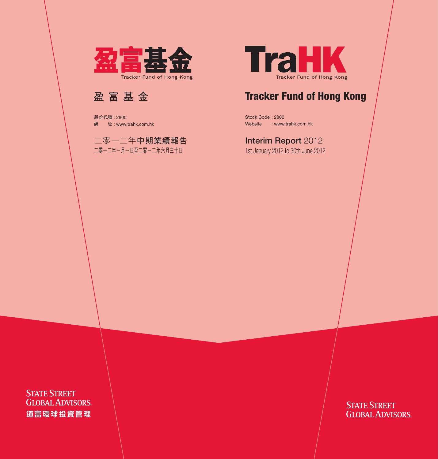

## Tracker Fund of Hong Kong

Stock Code : 2800 Website : www.trahk.com.hk

## **Interim Report 2012**

1st January 2012 to 30th June 2012

**STATE STREET GLOBAL ADVISORS**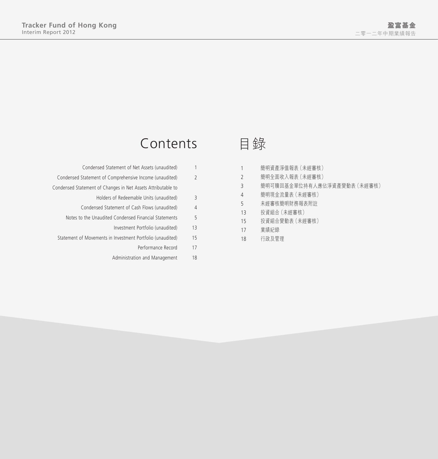# Contents

|                | Condensed Statement of Net Assets (unaudited)                |
|----------------|--------------------------------------------------------------|
| $\overline{2}$ | Condensed Statement of Comprehensive Income (unaudited)      |
|                | Condensed Statement of Changes in Net Assets Attributable to |
| 3              | Holders of Redeemable Units (unaudited)                      |
| 4              | Condensed Statement of Cash Flows (unaudited)                |
| 5              | Notes to the Unaudited Condensed Financial Statements        |
| 13             | Investment Portfolio (unaudited)                             |
| 15             | Statement of Movements in Investment Portfolio (unaudited)   |
| 17             | Performance Record                                           |
| 18             | Administration and Management                                |
|                |                                                              |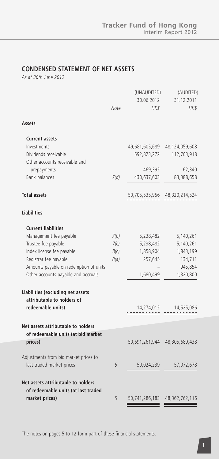### **CONDENSED STATEMENT OF NET ASSETS**

*As at 30th June 2012*

|                                                                    |      | (UNAUDITED)        | (AUDITED)                     |
|--------------------------------------------------------------------|------|--------------------|-------------------------------|
|                                                                    | Note | 30.06.2012<br>HK\$ | 31.12.2011<br>$H K$ \$        |
| Assets                                                             |      |                    |                               |
| <b>Current assets</b>                                              |      |                    |                               |
| Investments                                                        |      |                    | 49,681,605,689 48,124,059,608 |
| Dividends receivable<br>Other accounts receivable and              |      | 592,823,272        | 112,703,918                   |
| prepayments                                                        |      | 469,392            | 62,340                        |
| <b>Bank balances</b>                                               | 7(d) | 430,637,603        | 83,388,658                    |
| <b>Total assets</b>                                                |      | 50,705,535,956     | 48,320,214,524                |
| <b>Liabilities</b>                                                 |      |                    |                               |
| <b>Current liabilities</b>                                         |      |                    |                               |
| Management fee payable                                             | 7(b) | 5,238,482          | 5,140,261                     |
| Trustee fee payable                                                | 7(c) | 5,238,482          | 5,140,261                     |
| Index license fee payable                                          | 8(c) | 1,858,904          | 1,843,199                     |
| Registrar fee payable                                              | 8(a) | 257,645            | 134,711                       |
| Amounts payable on redemption of units                             |      |                    | 945,854                       |
| Other accounts payable and accruals                                |      | 1,680,499          | 1,320,800                     |
| Liabilities (excluding net assets<br>attributable to holders of    |      |                    |                               |
| redeemable units)                                                  |      | 14,274,012         | 14,525,086                    |
|                                                                    |      |                    |                               |
| Net assets attributable to holders                                 |      |                    |                               |
| of redeemable units (at bid market<br>prices)                      |      | 50,691,261,944     | 48,305,689,438                |
|                                                                    |      |                    |                               |
| Adjustments from bid market prices to<br>last traded market prices | 5    | 50,024,239         | 57,072,678                    |
| Net assets attributable to holders                                 |      |                    |                               |
| of redeemable units (at last traded                                |      |                    |                               |
| market prices)                                                     | 5    | 50,741,286,183     | 48,362,762,116                |

The notes on pages 5 to 12 form part of these financial statements.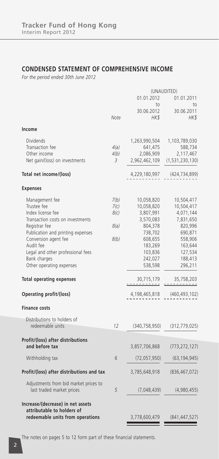### **CONDENSED STATEMENT OF COMPREHENSIVE INCOME**

*For the period ended 30th June 2012*

|                                           |      | (UNAUDITED)     |                                |  |
|-------------------------------------------|------|-----------------|--------------------------------|--|
|                                           |      | 01.01.2012      | 01.01.2011                     |  |
|                                           |      | to              | to                             |  |
|                                           |      | 30.06.2012      | 30.06.2011                     |  |
|                                           | Note | HK\$            | HK\$                           |  |
| Income                                    |      |                 |                                |  |
| <b>Dividends</b>                          |      | 1,263,990,504   | 1,103,789,030                  |  |
| Transaction fee                           | 4(a) | 641,475         | 588,734                        |  |
| Other income                              | 4(b) | 2,086,909       | 2,117,467                      |  |
| Net gain/(loss) on investments            | 3    | 2,962,462,109   | (1, 531, 230, 130)             |  |
| Total net income/(loss)                   |      | 4,229,180,997   | (424, 734, 899)                |  |
| <b>Expenses</b>                           |      |                 |                                |  |
| Management fee                            | 7(b) | 10,058,820      | 10,504,417                     |  |
| Trustee fee                               | 7(c) | 10,058,820      | 10,504,417                     |  |
| Index license fee                         | 8(c) | 3,807,991       | 4,071,144                      |  |
| Transaction costs on investments          |      | 3,570,083       | 7,831,650                      |  |
| Registrar fee                             | 8(a) | 804,378         | 820,996                        |  |
| Publication and printing expenses         |      | 738,702         | 690,871                        |  |
| Conversion agent fee                      | 8(b) | 608,655         | 558,906                        |  |
| Audit fee                                 |      | 183,269         | 163,644                        |  |
| Legal and other professional fees         |      | 103,836         | 127,534                        |  |
| Bank charges                              |      | 242,027         | 188,413                        |  |
| Other operating expenses                  |      | 538,598         | 296,211                        |  |
| <b>Total operating expenses</b>           |      | 30,715,179      | 35,758,203<br><u>---------</u> |  |
| Operating profit/(loss)                   |      | 4,198,465,818   | (460, 493, 102)                |  |
|                                           |      |                 |                                |  |
| <b>Finance costs</b>                      |      |                 |                                |  |
| Distributions to holders of               |      |                 |                                |  |
| redeemable units                          | 12   | (340, 758, 950) | (312, 779, 025)                |  |
| Profit/(loss) after distributions         |      |                 |                                |  |
| and before tax                            |      | 3,857,706,868   | (773, 272, 127)                |  |
| Withholding tax                           | 6    | (72,057,950)    | (63, 194, 945)                 |  |
| Profit/(loss) after distributions and tax |      | 3,785,648,918   | (836, 467, 072)                |  |
| Adjustments from bid market prices to     |      |                 |                                |  |
| last traded market prices                 | 5    | (7,048,439)     | (4,980,455)                    |  |
| Increase/(decrease) in net assets         |      |                 |                                |  |
| attributable to holders of                |      |                 |                                |  |
| redeemable units from operations          |      | 3,778,600,479   | (841, 447, 527)                |  |

The notes on pages 5 to 12 form part of these financial statements.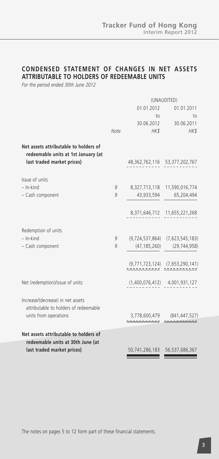### **CONDENSED STATEMENT OF CHANGES IN NET ASSETS ATTRIBUTABLE TO HOLDERS OF REDEEMABLE UNITS**

*For the period ended 30th June 2012*

|                                                                                                            |      |                               | (UNAUDITED)                         |
|------------------------------------------------------------------------------------------------------------|------|-------------------------------|-------------------------------------|
|                                                                                                            |      | 01.01.2012                    | 01.01.2011                          |
|                                                                                                            |      | $\overline{10}$               | to                                  |
|                                                                                                            |      |                               | 30.06.2012 30.06.2011               |
|                                                                                                            | Note | HK\$                          | HK\$                                |
| Net assets attributable to holders of<br>redeemable units at 1st January (at<br>last traded market prices) |      | 48,362,762,116 53,377,202,767 |                                     |
| Issue of units                                                                                             |      |                               |                                     |
| $-$ In-kind                                                                                                | 9    |                               | 8,327,713,118 11,590,016,774        |
| - Cash component                                                                                           | 9    |                               | 43,933,594 65,204,494               |
|                                                                                                            |      |                               | 8,371,646,712 11,655,221,268        |
| Redemption of units                                                                                        |      |                               |                                     |
| $-$ In-kind                                                                                                | 9    |                               | $(9,724,537,864)$ $(7,623,545,183)$ |
| - Cash component                                                                                           | 9    |                               | $(47, 185, 260)$ $(29, 744, 958)$   |
|                                                                                                            |      |                               | $(9,771,723,124)$ $(7,653,290,141)$ |
| Net (redemption)/issue of units                                                                            |      |                               | $(1,400,076,412)$ $4,001,931,127$   |
| Increase/(decrease) in net assets<br>attributable to holders of redeemable                                 |      |                               |                                     |
| units from operations                                                                                      |      |                               | $3,778,600,479$ $(841,447,527)$     |
| Net assets attributable to holders of                                                                      |      |                               |                                     |
| redeemable units at 30th June (at                                                                          |      |                               |                                     |
| last traded market prices)                                                                                 |      |                               | 50,741,286,183    56,537,686,367    |
|                                                                                                            |      |                               |                                     |

The notes on pages 5 to 12 form part of these financial statements.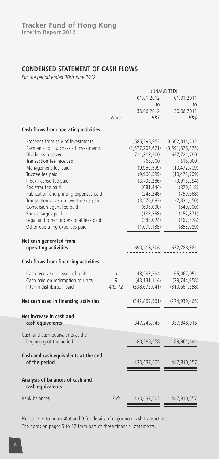### **CONDENSED STATEMENT OF CASH FLOWS**

*For the period ended 30th June 2012*

|                                                      |             |                           | (UNAUDITED)                     |
|------------------------------------------------------|-------------|---------------------------|---------------------------------|
|                                                      |             | 01.01.2012                | 01.01.2011                      |
|                                                      |             | to                        | to                              |
|                                                      |             | 30.06.2012                | 30.06.2011                      |
|                                                      | Note        | HK\$                      | HK\$                            |
| Cash flows from operating activities                 |             |                           |                                 |
| Proceeds from sale of investments                    |             | 1,585,298,953             | 3,602,314,212                   |
| Payments for purchase of investments                 |             | (1,577,207,671)           | (3, 591, 876, 875)              |
| Dividends received                                   |             | 711,813,200               | 657,721,790                     |
| Transaction fee received                             |             | 765,000                   | 615,000                         |
| Management fee paid                                  |             | (9,960,599)               | (10, 472, 709)                  |
| Trustee fee paid<br>Index license fee paid           |             | (9,960,599)               | (10, 472, 709)<br>(3, 915, 354) |
| Registrar fee paid                                   |             | (3,792,286)<br>(681, 444) | (820, 118)                      |
| Publication and printing expenses paid               |             | (248, 248)                | (759, 668)                      |
| Transaction costs on investments paid                |             | (3,570,083)               | (7,831,650)                     |
| Conversion agent fee paid                            |             | (696,000)                 | (540,000)                       |
| Bank charges paid                                    |             | (183, 558)                | (152, 871)                      |
| Legal and other professional fees paid               |             | (388, 024)                | (167, 578)                      |
| Other operating expenses paid                        |             | (1,070,135)               | (853,089)                       |
| Net cash generated from                              |             |                           |                                 |
| operating activities                                 |             | 690,118,506               | 632,788,381                     |
| Cash flows from financing activities                 |             |                           |                                 |
| Cash received on issue of units                      | 9           | 43,933,594                | 65,467,051                      |
| Cash paid on redemption of units                     | 9           | (48,131,114)              | (29, 744, 958)                  |
| Interim distribution paid                            | $4(b)$ , 12 | (338, 672, 041)           | (310, 661, 558)                 |
| Net cash used in financing activities                |             | (342, 869, 561)           | (274, 939, 465)                 |
| Net increase in cash and                             |             |                           |                                 |
| cash equivalents                                     |             | 347,248,945               | 357,848,916                     |
| Cash and cash equivalents at the                     |             |                           |                                 |
| beginning of the period                              |             | 83,388,658                | 89,961,441                      |
| Cash and cash equivalents at the end                 |             |                           |                                 |
| of the period                                        |             | 430,637,603               | 447,810,357                     |
| Analysis of balances of cash and<br>cash equivalents |             |                           |                                 |
| <b>Bank balances</b>                                 | 7(d)        | 430,637,603               | 447,810,357                     |
|                                                      |             |                           |                                 |

Please refer to notes 4(b) and 9 for details of major non-cash transactions. The notes on pages 5 to 12 form part of these financial statements.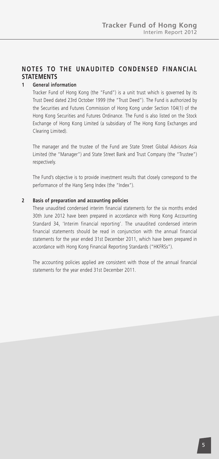### **NOTES TO THE UNAUDITED CONDENSED FINANCIAL STATEMENTS**

#### **1 General information**

Tracker Fund of Hong Kong (the "Fund") is a unit trust which is governed by its Trust Deed dated 23rd October 1999 (the "Trust Deed"). The Fund is authorized by the Securities and Futures Commission of Hong Kong under Section 104(1) of the Hong Kong Securities and Futures Ordinance. The Fund is also listed on the Stock Exchange of Hong Kong Limited (a subsidiary of The Hong Kong Exchanges and Clearing Limited).

The manager and the trustee of the Fund are State Street Global Advisors Asia Limited (the "Manager") and State Street Bank and Trust Company (the "Trustee") respectively.

The Fund's objective is to provide investment results that closely correspond to the performance of the Hang Seng Index (the "Index").

#### **2 Basis of preparation and accounting policies**

These unaudited condensed interim financial statements for the six months ended 30th June 2012 have been prepared in accordance with Hong Kong Accounting Standard 34, 'Interim financial reporting'. The unaudited condensed interim financial statements should be read in conjunction with the annual financial statements for the year ended 31st December 2011, which have been prepared in accordance with Hong Kong Financial Reporting Standards ("HKFRSs").

The accounting policies applied are consistent with those of the annual financial statements for the year ended 31st December 2011.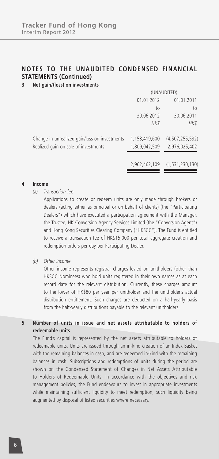### **3 Net gain/(loss) on investments**

|                                               | (UNAUDITED)   |                    |  |
|-----------------------------------------------|---------------|--------------------|--|
|                                               | 01.01.2012    | 01.01.2011         |  |
|                                               | to            | to                 |  |
|                                               | 30.06.2012    | 30.06.2011         |  |
|                                               | HK\$          | HK\$               |  |
| Change in unrealized gain/loss on investments | 1,153,419,600 | (4, 507, 255, 532) |  |
| Realized gain on sale of investments          | 1,809,042,509 | 2,976,025,402      |  |
|                                               |               |                    |  |
|                                               | 2,962,462,109 | (1,531,230,130)    |  |

#### **4 Income**

- *(a) Transaction fee*
	- Applications to create or redeem units are only made through brokers or dealers (acting either as principal or on behalf of clients) (the "Participating Dealers") which have executed a participation agreement with the Manager, the Trustee, HK Conversion Agency Services Limited (the "Conversion Agent") and Hong Kong Securities Clearing Company ("HKSCC"). The Fund is entitled to receive a transaction fee of HK\$15,000 per total aggregate creation and redemption orders per day per Participating Dealer.
- *(b) Other income*

Other income represents registrar charges levied on unitholders (other than HKSCC Nominees) who hold units registered in their own names as at each record date for the relevant distribution. Currently, these charges amount to the lower of HK\$80 per year per unitholder and the unitholder's actual distribution entitlement. Such charges are deducted on a half-yearly basis from the half-yearly distributions payable to the relevant unitholders.

#### **5 Number of units in issue and net assets attributable to holders of redeemable units**

The Fund's capital is represented by the net assets attributable to holders of redeemable units. Units are issued through an in-kind creation of an Index Basket with the remaining balances in cash, and are redeemed in-kind with the remaining balances in cash. Subscriptions and redemptions of units during the period are shown on the Condensed Statement of Changes in Net Assets Attributable to Holders of Redeemable Units. In accordance with the objectives and risk management policies, the Fund endeavours to invest in appropriate investments while maintaining sufficient liquidity to meet redemption, such liquidity being augmented by disposal of listed securities where necessary.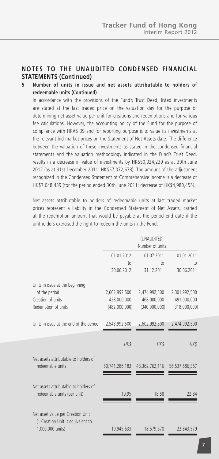#### **5 Number of units in issue and net assets attributable to holders of redeemable units (Continued)**

In accordance with the provisions of the Fund's Trust Deed, listed investments are stated at the last traded price on the valuation day for the purpose of determining net asset value per unit for creations and redemptions and for various fee calculations. However, the accounting policy of the Fund for the purpose of compliance with HKAS 39 and for reporting purpose is to value its investments at the relevant bid market prices on the Statement of Net Assets date. The difference between the valuation of these investments as stated in the condensed financial statements and the valuation methodology indicated in the Fund's Trust Deed, results in a decrease in value of investments by HK\$50,024,239 as at 30th June 2012 (as at 31st December 2011: HK\$57,072,678). The amount of the adjustment recognized in the Condensed Statement of Comprehensive Income is a decrease of HK\$7,048,439 (for the period ended 30th June 2011: decrease of HK\$4,980,455).

Net assets attributable to holders of redeemable units at last traded market prices represent a liability in the Condensed Statement of Net Assets, carried at the redemption amount that would be payable at the period end date if the unitholders exercised the right to redeem the units in the Fund.

|                                                                                            |                               | (UNAUDITED)<br>Number of units |                  |
|--------------------------------------------------------------------------------------------|-------------------------------|--------------------------------|------------------|
|                                                                                            | 01.01.2012<br>10 <sub>1</sub> | 01.07.2011<br>$†$              | 01.01.2011<br>to |
|                                                                                            | 30.06.2012                    | 31.12.2011                     | 30.06.2011       |
| Units in issue at the beginning                                                            |                               |                                |                  |
| of the period                                                                              | 2,602,992,500                 | 2,474,992,500                  | 2,301,992,500    |
| Creation of units                                                                          | 423,000,000                   | 468,000,000                    | 491,000,000      |
| Redemption of units                                                                        | (482,000,000)                 | (340,000,000)                  | (318,000,000)    |
| Units in issue at the end of the period                                                    | 2,543,992,500                 | 2,602,992,500                  | 2,474,992,500    |
|                                                                                            | HK\$                          | HK\$                           | HK\$             |
| Net assets attributable to holders of<br>redeemable units                                  | 50,741,286,183                | 48,362,762,116                 | 56,537,686,367   |
| Net assets attributable to holders of<br>redeemable units (per unit)                       | 19.95                         | 18.58                          | 22.84            |
| Net asset value per Creation Unit<br>(1 Creation Unit is equivalent to<br>1,000,000 units) | 19,945,533                    | 18,579,678                     | 22,843,579       |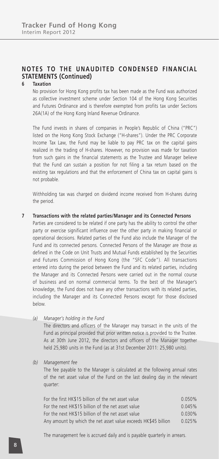#### **6 Taxation**

No provision for Hong Kong profits tax has been made as the Fund was authorized as collective investment scheme under Section 104 of the Hong Kong Securities and Futures Ordinance and is therefore exempted from profits tax under Sections 26A(1A) of the Hong Kong Inland Revenue Ordinance.

The Fund invests in shares of companies in People's Republic of China ("PRC") listed on the Hong Kong Stock Exchange ("H-shares"). Under the PRC Corporate Income Tax Law, the Fund may be liable to pay PRC tax on the capital gains realized in the trading of H-shares. However, no provision was made for taxation from such gains in the financial statements as the Trustee and Manager believe that the Fund can sustain a position for not filing a tax return based on the existing tax regulations and that the enforcement of China tax on capital gains is not probable.

Withholding tax was charged on dividend income received from H-shares during the period.

#### **7 Transactions with the related parties/Manager and its Connected Persons**

Parties are considered to be related if one party has the ability to control the other party or exercise significant influence over the other party in making financial or operational decisions. Related parties of the Fund also include the Manager of the Fund and its connected persons. Connected Persons of the Manager are those as defined in the Code on Unit Trusts and Mutual Funds established by the Securities and Futures Commission of Hong Kong (the "SFC Code"). All transactions entered into during the period between the Fund and its related parties, including the Manager and its Connected Persons were carried out in the normal course of business and on normal commercial terms. To the best of the Manager's knowledge, the Fund does not have any other transactions with its related parties, including the Manager and its Connected Persons except for those disclosed below.

#### *(a) Manager's holding in the Fund*

The directors and officers of the Manager may transact in the units of the Fund as principal provided that prior written notice is provided to the Trustee. As at 30th June 2012, the directors and officers of the Manager together held 25,980 units in the Fund (as at 31st December 2011: 25,980 units).

*(b) Management fee*

The fee payable to the Manager is calculated at the following annual rates of the net asset value of the Fund on the last dealing day in the relevant quarter:

| For the first HK\$15 billion of the net asset value            | 0.050%    |
|----------------------------------------------------------------|-----------|
| For the next HK\$15 billion of the net asset value             | 0.045%    |
| For the next HK\$15 billion of the net asset value             | $0.030\%$ |
| Any amount by which the net asset value exceeds HK\$45 billion | 0.025%    |

The management fee is accrued daily and is payable quarterly in arrears.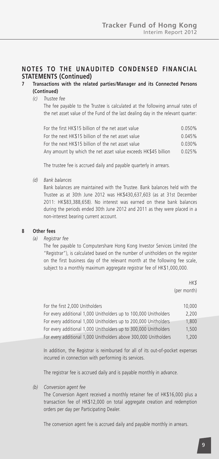#### **7 Transactions with the related parties/Manager and its Connected Persons (Continued)**

#### *(c) Trustee fee*

The fee payable to the Trustee is calculated at the following annual rates of the net asset value of the Fund of the last dealing day in the relevant quarter:

| For the first HK\$15 billion of the net asset value            | $0.050\%$ |
|----------------------------------------------------------------|-----------|
| For the next HK\$15 billion of the net asset value             | 0.045%    |
| For the next HK\$15 billion of the net asset value             | $0.030\%$ |
| Any amount by which the net asset value exceeds HK\$45 billion | 0.025%    |

The trustee fee is accrued daily and payable quarterly in arrears.

*(d) Bank balances*

Bank balances are maintained with the Trustee. Bank balances held with the Trustee as at 30th June 2012 was HK\$430,637,603 (as at 31st December 2011: HK\$83,388,658). No interest was earned on these bank balances during the periods ended 30th June 2012 and 2011 as they were placed in a non-interest bearing current account.

#### **8 Other fees**

*(a) Registrar fee*

The fee payable to Computershare Hong Kong Investor Services Limited (the "Registrar"), is calculated based on the number of unitholders on the register on the first business day of the relevant month at the following fee scale, subject to a monthly maximum aggregate registrar fee of HK\$1,000,000.

> *HK\$* (per month)

| For the first 2,000 Unitholders                                  | 10,000 |
|------------------------------------------------------------------|--------|
| For every additional 1,000 Unitholders up to 100,000 Unitholders | 2,200  |
| For every additional 1,000 Unitholders up to 200,000 Unitholders | 1.800  |
| For every additional 1,000 Unitholders up to 300,000 Unitholders | 1.500  |
| For every additional 1,000 Unitholders above 300,000 Unitholders | 1.200  |

In addition, the Registrar is reimbursed for all of its out-of-pocket expenses incurred in connection with performing its services.

The registrar fee is accrued daily and is payable monthly in advance.

*(b) Conversion agent fee*

The Conversion Agent received a monthly retainer fee of HK\$16,000 plus a transaction fee of HK\$12,000 on total aggregate creation and redemption orders per day per Participating Dealer.

The conversion agent fee is accrued daily and payable monthly in arrears.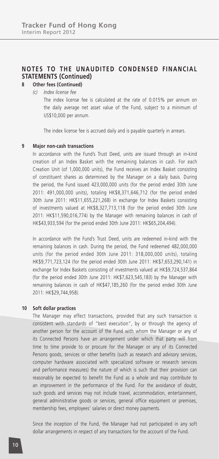#### **NOTES TO THE UNAUDITED CONDENSED FINANCIAL STATEMENTS (Continued) 8 Other fees (Continued)**

*(c) Index license fee*

The index license fee is calculated at the rate of 0.015% per annum on the daily average net asset value of the Fund, subject to a minimum of US\$10,000 per annum.

The index license fee is accrued daily and is payable quarterly in arrears.

#### **9 Major non-cash transactions**

In accordance with the Fund's Trust Deed, units are issued through an in-kind creation of an Index Basket with the remaining balances in cash. For each Creation Unit (of 1,000,000 units), the Fund receives an Index Basket consisting of constituent shares as determined by the Manager on a daily basis. During the period, the Fund issued 423,000,000 units (for the period ended 30th June 2011: 491,000,000 units), totaling HK\$8,371,646,712 (for the period ended 30th June 2011: HK\$11,655,221,268) in exchange for Index Baskets consisting of investments valued at HK\$8,327,713,118 (for the period ended 30th June 2011: HK\$11,590,016,774) by the Manager with remaining balances in cash of HK\$43,933,594 (for the period ended 30th June 2011: HK\$65,204,494).

In accordance with the Fund's Trust Deed, units are redeemed in-kind with the remaining balances in cash. During the period, the Fund redeemed 482,000,000 units (for the period ended 30th June 2011: 318,000,000 units), totaling HK\$9,771,723,124 (for the period ended 30th June 2011: HK\$7,653,290,141) in exchange for Index Baskets consisting of investments valued at HK\$9,724,537,864 (for the period ended 30th June 2011: HK\$7,623,545,183) by the Manager with remaining balances in cash of HK\$47,185,260 (for the period ended 30th June 2011: HK\$29,744,958).

#### **10 Soft dollar practices**

The Manager may effect transactions, provided that any such transaction is consistent with standards of "best execution", by or through the agency of another person for the account of the Fund with whom the Manager or any of its Connected Persons have an arrangement under which that party will from time to time provide to or procure for the Manager or any of its Connected Persons goods, services or other benefits (such as research and advisory services, computer hardware associated with specialized software or research services and performance measures) the nature of which is such that their provision can reasonably be expected to benefit the Fund as a whole and may contribute to an improvement in the performance of the Fund. For the avoidance of doubt, such goods and services may not include travel, accommodation, entertainment, general administrative goods or services, general office equipment or premises, membership fees, employees' salaries or direct money payments.

Since the inception of the Fund, the Manager had not participated in any soft dollar arrangements in respect of any transactions for the account of the Fund.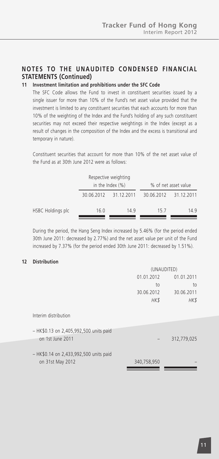### **11 Investment limitation and prohibitions under the SFC Code**

The SFC Code allows the Fund to invest in constituent securities issued by a single issuer for more than 10% of the Fund's net asset value provided that the investment is limited to any constituent securities that each accounts for more than 10% of the weighting of the Index and the Fund's holding of any such constituent securities may not exceed their respective weightings in the Index (except as a result of changes in the composition of the Index and the excess is transitional and temporary in nature).

Constituent securities that account for more than 10% of the net asset value of the Fund as at 30th June 2012 were as follows:

|                   | Respective weighting<br>in the Index $(\%)$ |                       |            | % of net asset value |
|-------------------|---------------------------------------------|-----------------------|------------|----------------------|
|                   |                                             | 30.06.2012 31.12.2011 | 30.06.2012 | 31.12.2011           |
| HSBC Holdings plc | 16.0                                        | 149                   | 157        | 149                  |

During the period, the Hang Seng Index increased by 5.46% (for the period ended 30th June 2011: decreased by 2.77%) and the net asset value per unit of the Fund increased by 7.37% (for the period ended 30th June 2011: decreased by 1.51%).

#### **12 Distribution**

|                                                            | (UNAUDITED)              |             |  |
|------------------------------------------------------------|--------------------------|-------------|--|
|                                                            | 01.01.2012<br>01.01.2011 |             |  |
|                                                            | to                       | to          |  |
|                                                            | 30.06.2012               | 30.06.2011  |  |
|                                                            | HK\$                     | HK\$        |  |
| Interim distribution                                       |                          |             |  |
| - HK\$0.13 on 2,405,992,500 units paid<br>on 1st June 2011 |                          | 312,779,025 |  |
|                                                            |                          |             |  |
| - HK\$0.14 on 2,433,992,500 units paid<br>on 31st May 2012 | 340,758,950              |             |  |
|                                                            |                          |             |  |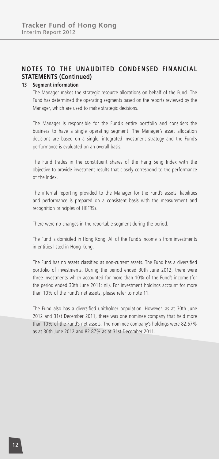#### **13 Segment information**

The Manager makes the strategic resource allocations on behalf of the Fund. The Fund has determined the operating segments based on the reports reviewed by the Manager, which are used to make strategic decisions.

The Manager is responsible for the Fund's entire portfolio and considers the business to have a single operating segment. The Manager's asset allocation decisions are based on a single, integrated investment strategy and the Fund's performance is evaluated on an overall basis.

The Fund trades in the constituent shares of the Hang Seng Index with the objective to provide investment results that closely correspond to the performance of the Index.

The internal reporting provided to the Manager for the Fund's assets, liabilities and performance is prepared on a consistent basis with the measurement and recognition principles of HKFRSs.

There were no changes in the reportable segment during the period.

The Fund is domiciled in Hong Kong. All of the Fund's income is from investments in entities listed in Hong Kong.

The Fund has no assets classified as non-current assets. The Fund has a diversified portfolio of investments. During the period ended 30th June 2012, there were three investments which accounted for more than 10% of the Fund's income (for the period ended 30th June 2011: nil). For investment holdings account for more than 10% of the Fund's net assets, please refer to note 11.

The Fund also has a diversified unitholder population. However, as at 30th June 2012 and 31st December 2011, there was one nominee company that held more than 10% of the Fund's net assets. The nominee company's holdings were 82.67% as at 30th June 2012 and 82.87% as at 31st December 2011.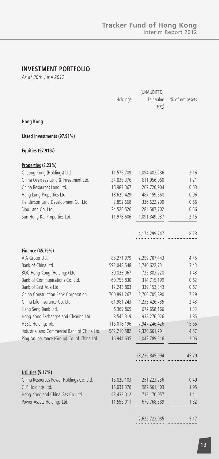### **INVESTMENT PORTFOLIO**

*As at 30th June 2012*

|                                              | Holdings                  | Fair value                   | % of net assets |
|----------------------------------------------|---------------------------|------------------------------|-----------------|
|                                              |                           | HK\$                         |                 |
| <b>Hong Kong</b>                             |                           |                              |                 |
| Listed investments (97.91%)                  |                           |                              |                 |
| Equities (97.91%)                            |                           |                              |                 |
| Properties (8.23%)                           |                           |                              |                 |
| Cheung Kong (Holdings) Ltd.                  | 11,575,709                | 1,094,483,286                | 2.16            |
| China Overseas Land & Investment Ltd.        | 34,035,376                | 611,956,060                  | 1.21            |
| China Resources Land Ltd.                    | 16,987,367                | 267,720,904                  | 0.53            |
| Hang Lung Properties Ltd.                    | 18,629,429                | 487, 159, 568                | 0.96            |
| Henderson Land Development Co. Ltd.          | 7,892,668                 | 336,622,290                  | 0.66            |
| Sino Land Co. Ltd.                           | 24,526,526                | 284,507,702                  | 0.56            |
| Sun Hung Kai Properties Ltd.                 | 11,978,606                | 1,091,849,937                | 2.15            |
|                                              |                           |                              |                 |
|                                              |                           | 4,174,299,747                | 8.23            |
|                                              |                           |                              |                 |
| Finance (45.79%)                             |                           |                              |                 |
| AIA Group Ltd.<br>Bank of China Ltd.         | 85,271,979                | 2,259,707,443                | 4.45<br>3.43    |
| BOC Hong Kong (Holdings) Ltd.                | 592,048,548<br>30,823,067 | 1,740,622,731<br>725,883,228 | 1.43            |
| Bank of Communications Co. Ltd.              | 60,755,830                | 314,715,199                  | 0.62            |
| Bank of East Asia Ltd.                       | 12,243,803                | 339, 153, 343                | 0.67            |
| China Construction Bank Corporation          | 700,891,267               | 3,700,705,890                | 7.29            |
| China Life Insurance Co. Ltd.                | 61,981,243                | 1,233,426,735                | 2.43            |
| Hang Seng Bank Ltd.                          | 6,369,869                 | 672,658,166                  | 1.33            |
| Hong Kong Exchanges and Clearing Ltd.        | 8,545,319                 | 938,276,026                  | 1.85            |
| HSBC Holdings plc                            | 116,018,196               | 7,947,246,426                | 15.66           |
| Industrial and Commercial Bank of China Ltd. | 542,210,582               | 2,320,661,291                | 4.57            |
| Ping An Insurance (Group) Co. of China Ltd.  | 16,944,635                | 1,043,789,516                | 2.06            |
|                                              |                           | 23,236,845,994               | 45.79           |
|                                              |                           |                              |                 |
| Utilities (5.17%)                            |                           |                              |                 |
| China Resources Power Holdings Co. Ltd.      | 15,820,103                | 251,223,236                  | 0.49            |
| CLP Holdings Ltd.                            | 15,031,376                | 987,561,403                  | 1.95            |
| Hong Kong and China Gas Co. Ltd.             | 43,433,012                | 713,170,057                  | 1.41            |
| Power Assets Holdings Ltd.                   | 11,555,011                | 670,768,389                  | 1.32            |
|                                              |                           | 2,622,723,085                | 5.17            |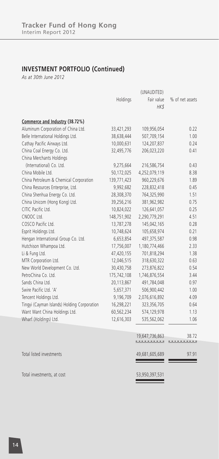### **INVESTMENT PORTFOLIO (Continued)**

*As at 30th June 2012*

|                                             | Holdings    | Fair value     | % of net assets |
|---------------------------------------------|-------------|----------------|-----------------|
|                                             |             | HK\$           |                 |
|                                             |             |                |                 |
| Commerce and Industry (38.72%)              |             |                |                 |
| Aluminum Corporation of China Ltd.          | 33,421,293  | 109,956,054    | 0.22            |
| Belle International Holdings Ltd.           | 38,638,444  | 507,709,154    | 1.00            |
| Cathay Pacific Airways Ltd.                 | 10,000,631  | 124,207,837    | 0.24            |
| China Coal Energy Co. Ltd.                  | 32,495,776  | 206,023,220    | 0.41            |
| China Merchants Holdings                    |             |                |                 |
| (International) Co. Ltd.                    | 9,275,664   | 216,586,754    | 0.43            |
| China Mobile Ltd.                           | 50,172,025  | 4,252,079,119  | 8.38            |
| China Petroleum & Chemical Corporation      | 139,771,423 | 960,229,676    | 1.89            |
| China Resources Enterprise, Ltd.            | 9,992,682   | 228,832,418    | 0.45            |
| China Shenhua Energy Co. Ltd.               | 28,308,370  | 764,325,990    | 1.51            |
| China Unicom (Hong Kong) Ltd.               | 39,256,216  | 381,962,982    | 0.75            |
| CITIC Pacific Ltd.                          | 10,824,022  | 126,641,057    | 0.25            |
| CNOOC Ltd.                                  | 148,751,902 | 2,290,779,291  | 4.51            |
| COSCO Pacific Ltd.                          | 13,787,278  | 145,042,165    | 0.28            |
| Esprit Holdings Ltd.                        | 10,748,624  | 105,658,974    | 0.21            |
| Hengan International Group Co. Ltd.         | 6,653,854   | 497,375,587    | 0.98            |
| Hutchison Whampoa Ltd.                      | 17,756,007  | 1,180,774,466  | 2.33            |
| Li & Fung Ltd.                              | 47,420,155  | 701,818,294    | 1.38            |
| MTR Corporation Ltd.                        | 12,046,515  | 318,630,322    | 0.63            |
| New World Development Co. Ltd.              | 30,430,758  | 273,876,822    | 0.54            |
| PetroChina Co. Ltd.                         | 175,742,108 | 1,746,876,554  | 3.44            |
| Sands China Ltd.                            | 20,113,867  | 491,784,048    | 0.97            |
| Swire Pacific Ltd. 'A'                      | 5,657,371   | 506,900,442    | 1.00            |
| Tencent Holdings Ltd.                       | 9,196,709   | 2,076,616,892  | 4.09            |
| Tingyi (Cayman Islands) Holding Corporation | 16,298,221  | 323,356,705    | 0.64            |
| Want Want China Holdings Ltd.               | 60,562,234  | 574,129,978    | 1.13            |
| Wharf (Holdings) Ltd.                       | 12,616,303  | 535,562,062    | 1.06            |
|                                             |             |                |                 |
|                                             |             | 19,647,736,863 | 38.72           |
|                                             |             |                | . <u>.</u>      |
| Total listed investments                    |             | 49,681,605,689 | 97.91           |
|                                             |             |                |                 |
| Total investments, at cost                  |             | 53,950,397,531 |                 |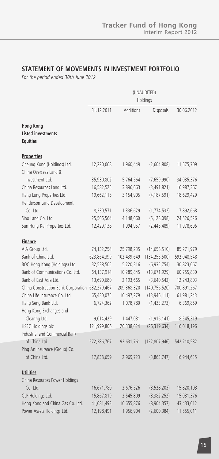### **STATEMENT OF MOVEMENTS IN INVESTMENT PORTFOLIO**

*For the period ended 30th June 2012*

|                                                                  | (UNAUDITED)<br>Holdings |             |                 |             |
|------------------------------------------------------------------|-------------------------|-------------|-----------------|-------------|
|                                                                  | 31.12.2011              | Additions   | Disposals       | 30.06.2012  |
| <b>Hong Kong</b><br><b>Listed investments</b><br><b>Equities</b> |                         |             |                 |             |
| <b>Properties</b>                                                |                         |             |                 |             |
| Cheung Kong (Holdings) Ltd.                                      | 12,220,068              | 1,960,449   | (2,604,808)     | 11,575,709  |
| China Overseas Land &                                            |                         |             |                 |             |
| Investment Ltd.                                                  | 35,930,802              | 5,764,564   | (7,659,990)     | 34,035,376  |
| China Resources Land Ltd.                                        | 16,582,525              | 3,896,663   | (3,491,821)     | 16,987,367  |
| Hang Lung Properties Ltd.<br>Henderson Land Development          | 19,662,115              | 3,154,905   | (4, 187, 591)   | 18,629,429  |
| Co. Ltd.                                                         | 8,330,571               | 1,336,629   | (1, 774, 532)   | 7,892,668   |
| Sino Land Co. Ltd.                                               | 25,506,564              | 4,148,060   | (5, 128, 098)   | 24,526,526  |
| Sun Hung Kai Properties Ltd.                                     | 12,429,138              | 1,994,957   | (2, 445, 489)   | 11,978,606  |
|                                                                  |                         |             |                 |             |
| <b>Finance</b>                                                   |                         |             |                 |             |
| AIA Group Ltd.                                                   | 74,132,254              | 25,798,235  | (14, 658, 510)  | 85,271,979  |
| Bank of China Ltd.                                               | 623,864,399             | 102,439,649 | (134, 255, 500) | 592,048,548 |
| BOC Hong Kong (Holdings) Ltd.                                    | 32,538,505              | 5,220,316   | (6,935,754)     | 30,823,067  |
| Bank of Communications Co. Ltd.                                  | 64,137,914              | 10,289,845  | (13,671,929)    | 60,755,830  |
| Bank of East Asia Ltd.                                           | 13,690,680              | 2,193,665   | (3,640,542)     | 12,243,803  |
| China Construction Bank Corporation 632,279,467                  |                         | 209,368,320 | (140, 756, 520) | 700,891,267 |
| China Life Insurance Co. Ltd                                     | 65,430,075              | 10,497,279  | (13, 946, 111)  | 61,981,243  |
| Hang Seng Bank Ltd.                                              | 6,724,362               | 1,078,780   | (1,433,273)     | 6,369,869   |
| Hong Kong Exchanges and                                          |                         |             |                 |             |
| Clearing Ltd.                                                    | 9,014,429               | 1,447,031   | (1, 916, 141)   | 8,545,319   |
| HSBC Holdings plc                                                | 121,999,806             | 20,338,024  | (26, 319, 634)  | 116,018,196 |
| Industrial and Commercial Bank<br>of China Ltd.                  |                         |             |                 |             |
| Ping An Insurance (Group) Co.                                    | 572,386,767             | 92,631,761  | (122, 807, 946) | 542,210,582 |
| of China Ltd.                                                    | 17,838,659              | 2,969,723   | (3,863,747)     | 16,944,635  |
|                                                                  |                         |             |                 |             |
| <b>Utilities</b>                                                 |                         |             |                 |             |
| China Resources Power Holdings                                   |                         |             |                 |             |
| Co. Ltd.                                                         | 16,671,780              | 2,676,526   | (3,528,203)     | 15,820,103  |
| CLP Holdings Ltd.                                                | 15,867,819              | 2,545,809   | (3,382,252)     | 15,031,376  |
| Hong Kong and China Gas Co. Ltd.                                 | 41,681,493              | 10,655,876  | (8,904,357)     | 43,433,012  |
| Power Assets Holdings Ltd.                                       | 12,198,491              | 1,956,904   | (2,600,384)     | 11,555,011  |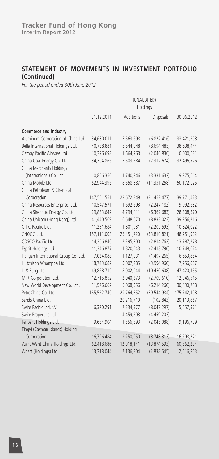### **STATEMENT OF MOVEMENTS IN INVESTMENT PORTFOLIO (Continued)**

*For the period ended 30th June 2012*

|                                     | (UNAUDITED)<br>Holdings |            |                |             |
|-------------------------------------|-------------------------|------------|----------------|-------------|
|                                     | 31.12.2011              | Additions  | Disposals      | 30.06.2012  |
| <b>Commerce and Industry</b>        |                         |            |                |             |
| Aluminum Corporation of China Ltd.  | 34,680,011              | 5,563,698  | (6,822,416)    | 33,421,293  |
| Belle International Holdings Ltd.   | 40,788,881              | 6,544,048  | (8,694,485)    | 38,638,444  |
| Cathay Pacific Airways Ltd.         | 10,376,698              | 1,664,763  | (2,040,830)    | 10,000,631  |
| China Coal Energy Co. Ltd.          | 34,304,866              | 5,503,584  | (7, 312, 674)  | 32,495,776  |
| China Merchants Holdings            |                         |            |                |             |
| (International) Co. Ltd.            | 10,866,350              | 1,740,946  | (3,331,632)    | 9,275,664   |
| China Mobile Ltd.                   | 52,944,396              | 8,558,887  | (11, 331, 258) | 50,172,025  |
| China Petroleum & Chemical          |                         |            |                |             |
| Corporation                         | 147,551,551             | 23,672,349 | (31, 452, 477) | 139,771,423 |
| China Resources Enterprise, Ltd.    | 10,547,571              | 1,692,293  | (2, 247, 182)  | 9,992,682   |
| China Shenhua Energy Co. Ltd.       | 29,883,642              | 4,794,411  | (6,369,683)    | 28,308,370  |
| China Unicom (Hong Kong) Ltd.       | 41,440,569              | 6,648,670  | (8,833,023)    | 39,256,216  |
| CITIC Pacific Ltd.                  | 11,231,684              | 1,801,931  | (2, 209, 593)  | 10,824,022  |
| CNOOC Ltd.                          | 157,111,003             | 25,451,720 | (33,810,821)   | 148,751,902 |
| COSCO Pacific Ltd.                  | 14,306,840              | 2,295,200  | (2,814,762)    | 13,787,278  |
| Esprit Holdings Ltd.                | 11,346,877              | 1,820,543  | (2, 418, 796)  | 10,748,624  |
| Hengan International Group Co. Ltd. | 7,024,088               | 1,127,031  | (1, 497, 265)  | 6,653,854   |
| Hutchison Whampoa Ltd.              | 18,743,682              | 3,007,285  | (3,994,960)    | 17,756,007  |
| Li & Fung Ltd.                      | 49,868,719              | 8,002,044  | (10, 450, 608) | 47,420,155  |
| MTR Corporation Ltd.                | 12,715,852              | 2,040,273  | (2,709,610)    | 12,046,515  |
| New World Development Co. Ltd.      | 31,576,662              | 5,068,356  | (6, 214, 260)  | 30,430,758  |
| PetroChina Co. Ltd.                 | 185,522,740             | 29,764,352 | (39, 544, 984) | 175,742,108 |
| Sands China Ltd.                    |                         | 20,216,710 | (102, 843)     | 20,113,867  |
| Swire Pacific Ltd. 'A'              | 6,370,291               | 7,334,377  | (8,047,297)    | 5,657,371   |
| Swire Properties Ltd.               |                         | 4,459,203  | (4, 459, 203)  |             |
| Tencent Holdings Ltd.               | 9,684,904               | 1,556,893  | (2,045,088)    | 9,196,709   |
| Tingyi (Cayman Islands) Holding     |                         |            |                |             |
| Corporation                         | 16,796,484              | 3,250,050  | (3,748,313)    | 16,298,221  |
| Want Want China Holdings Ltd.       | 62,418,686              | 12,018,141 | (13, 874, 593) | 60,562,234  |
| Wharf (Holdings) Ltd.               | 13,318,044              | 2,136,804  | (2,838,545)    | 12,616,303  |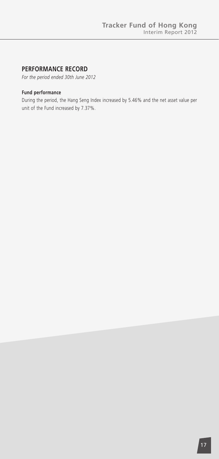### **PERFORMANCE RECORD**

*For the period ended 30th June 2012*

#### **Fund performance**

During the period, the Hang Seng Index increased by 5.46% and the net asset value per unit of the Fund increased by 7.37%.